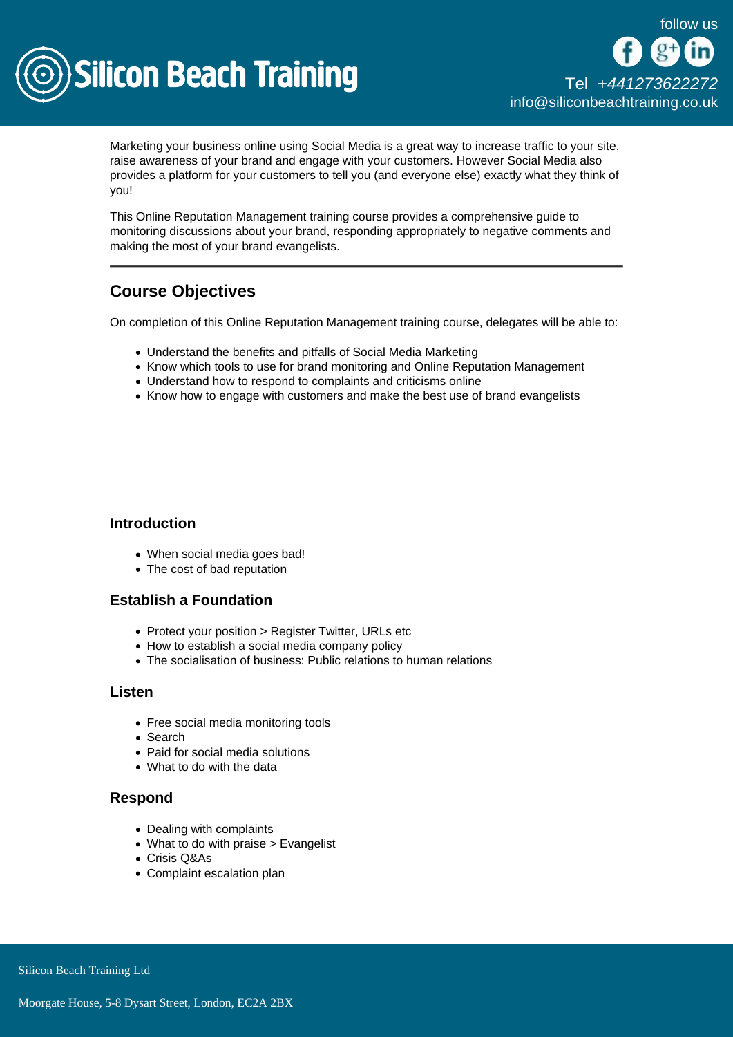

Marketing your business online using Social Media is a great way to increase traffic to your site, raise awareness of your brand and engage with your customers. However Social Media also provides a platform for your customers to tell you (and everyone else) exactly what they think of you!

This Online Reputation Management training course provides a comprehensive guide to monitoring discussions about your brand, responding appropriately to negative comments and making the most of your brand evangelists.

# Course Objectives

On completion of this Online Reputation Management training course, delegates will be able to:

- Understand the benefits and pitfalls of Social Media Marketing
- Know which tools to use for brand monitoring and Online Reputation Management
- Understand how to respond to complaints and criticisms online
- Know how to engage with customers and make the best use of brand evangelists

#### **Introduction**

- When social media goes bad!
- The cost of bad reputation

## Establish a Foundation

- Protect your position > Register Twitter, URLs etc
- How to establish a social media company policy
- The socialisation of business: Public relations to human relations

#### Listen

- Free social media monitoring tools
- Search
- Paid for social media solutions
- What to do with the data

## Respond

- Dealing with complaints
- What to do with praise > Evangelist
- Crisis Q&As
- Complaint escalation plan

Silicon Beach Training Ltd